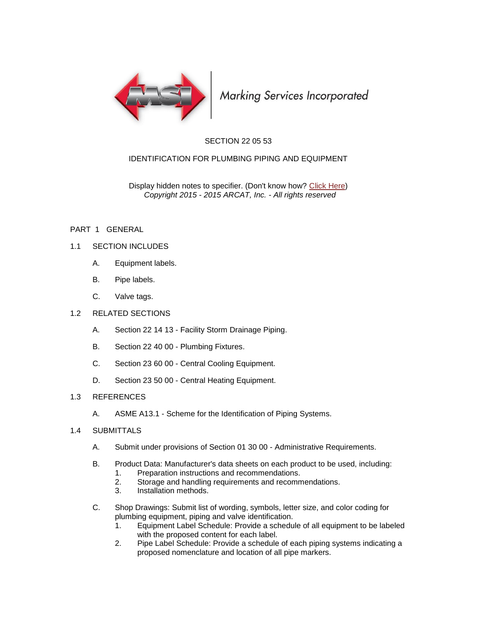

Marking Services Incorporated

## SECTION 22 05 53

## IDENTIFICATION FOR PLUMBING PIPING AND EQUIPMENT

Display hidden notes to specifier. (Don't know how? [Click Here\)](http://www.arcat.com/sd/display_hidden_notes.shtml) *Copyright 2015 - 2015 ARCAT, Inc. - All rights reserved*

### PART 1 GENERAL

### 1.1 SECTION INCLUDES

- A. Equipment labels.
- B. Pipe labels.
- C. Valve tags.

#### 1.2 RELATED SECTIONS

- A. Section 22 14 13 Facility Storm Drainage Piping.
- B. Section 22 40 00 Plumbing Fixtures.
- C. Section 23 60 00 Central Cooling Equipment.
- D. Section 23 50 00 Central Heating Equipment.

#### 1.3 REFERENCES

A. ASME A13.1 - Scheme for the Identification of Piping Systems.

### 1.4 SUBMITTALS

- A. Submit under provisions of Section 01 30 00 Administrative Requirements.
- B. Product Data: Manufacturer's data sheets on each product to be used, including:
	- 1. Preparation instructions and recommendations.
	- 2. Storage and handling requirements and recommendations.
	- 3. Installation methods.
- C. Shop Drawings: Submit list of wording, symbols, letter size, and color coding for plumbing equipment, piping and valve identification.
	- 1. Equipment Label Schedule: Provide a schedule of all equipment to be labeled with the proposed content for each label.
	- 2. Pipe Label Schedule: Provide a schedule of each piping systems indicating a proposed nomenclature and location of all pipe markers.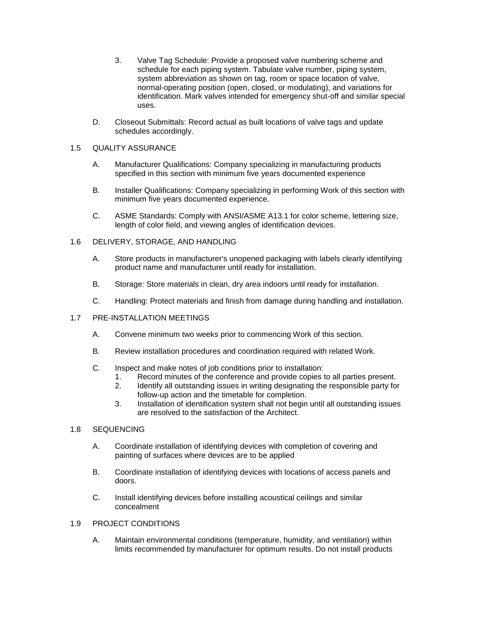- 3. Valve Tag Schedule: Provide a proposed valve numbering scheme and schedule for each piping system. Tabulate valve number, piping system, system abbreviation as shown on tag, room or space location of valve, normal-operating position (open, closed, or modulating), and variations for identification. Mark valves intended for emergency shut-off and similar special uses.
- D. Closeout Submittals: Record actual as built locations of valve tags and update schedules accordingly.

### 1.5 QUALITY ASSURANCE

- A. Manufacturer Qualifications: Company specializing in manufacturing products specified in this section with minimum five years documented experience
- B. Installer Qualifications: Company specializing in performing Work of this section with minimum five years documented experience.
- C. ASME Standards: Comply with ANSI/ASME A13.1 for color scheme, lettering size, length of color field, and viewing angles of identification devices.

### 1.6 DELIVERY, STORAGE, AND HANDLING

- A. Store products in manufacturer's unopened packaging with labels clearly identifying product name and manufacturer until ready for installation.
- B. Storage: Store materials in clean, dry area indoors until ready for installation.
- C. Handling: Protect materials and finish from damage during handling and installation.

### 1.7 PRE-INSTALLATION MEETINGS

- A. Convene minimum two weeks prior to commencing Work of this section.
- B. Review installation procedures and coordination required with related Work.
- C. Inspect and make notes of job conditions prior to installation:
	- 1. Record minutes of the conference and provide copies to all parties present.
	- 2. Identify all outstanding issues in writing designating the responsible party for follow-up action and the timetable for completion.
	- 3. Installation of identification system shall not begin until all outstanding issues are resolved to the satisfaction of the Architect.
- 1.8 SEQUENCING
	- A. Coordinate installation of identifying devices with completion of covering and painting of surfaces where devices are to be applied
	- B. Coordinate installation of identifying devices with locations of access panels and doors.
	- C. Install identifying devices before installing acoustical ceilings and similar concealment

### 1.9 PROJECT CONDITIONS

A. Maintain environmental conditions (temperature, humidity, and ventilation) within limits recommended by manufacturer for optimum results. Do not install products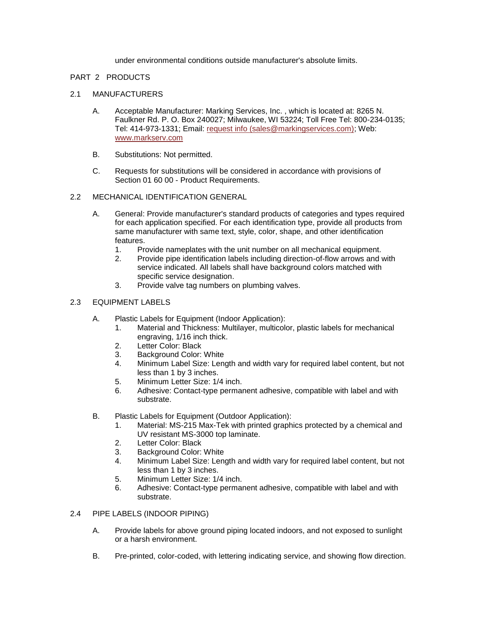under environmental conditions outside manufacturer's absolute limits.

### PART 2 PRODUCTS

### 2.1 MANUFACTURERS

- A. Acceptable Manufacturer: Marking Services, Inc. , which is located at: 8265 N. Faulkner Rd. P. O. Box 240027; Milwaukee, WI 53224; Toll Free Tel: 800-234-0135; Tel: 414-973-1331; Email: [request info \(sales@markingservices.com\);](http://admin.arcat.com/users.pl?action=UserEmail&company=Marking+Services,+Inc.+&coid=49382&rep=&fax=&message=RE:%20Spec%20Question%20(15076mis):%20%20&mf=) Web: [www.markserv.com](http://www.markserv.com/)
- B. Substitutions: Not permitted.
- C. Requests for substitutions will be considered in accordance with provisions of Section 01 60 00 - Product Requirements.

### 2.2 MECHANICAL IDENTIFICATION GENERAL

- A. General: Provide manufacturer's standard products of categories and types required for each application specified. For each identification type, provide all products from same manufacturer with same text, style, color, shape, and other identification features.
	- 1. Provide nameplates with the unit number on all mechanical equipment.
	- 2. Provide pipe identification labels including direction-of-flow arrows and with service indicated. All labels shall have background colors matched with specific service designation.
	- 3. Provide valve tag numbers on plumbing valves.

### 2.3 EQUIPMENT LABELS

- A. Plastic Labels for Equipment (Indoor Application):
	- 1. Material and Thickness: Multilayer, multicolor, plastic labels for mechanical engraving, 1/16 inch thick.
	- 2. Letter Color: Black
	- 3. Background Color: White
	- 4. Minimum Label Size: Length and width vary for required label content, but not less than 1 by 3 inches.
	- 5. Minimum Letter Size: 1/4 inch.
	- 6. Adhesive: Contact-type permanent adhesive, compatible with label and with substrate.
- B. Plastic Labels for Equipment (Outdoor Application):
	- 1. Material: MS-215 Max-Tek with printed graphics protected by a chemical and UV resistant MS-3000 top laminate.
	- 2. Letter Color: Black
	- 3. Background Color: White
	- 4. Minimum Label Size: Length and width vary for required label content, but not less than 1 by 3 inches.
	- 5. Minimum Letter Size: 1/4 inch.
	- 6. Adhesive: Contact-type permanent adhesive, compatible with label and with substrate.
- 2.4 PIPE LABELS (INDOOR PIPING)
	- A. Provide labels for above ground piping located indoors, and not exposed to sunlight or a harsh environment.
	- B. Pre-printed, color-coded, with lettering indicating service, and showing flow direction.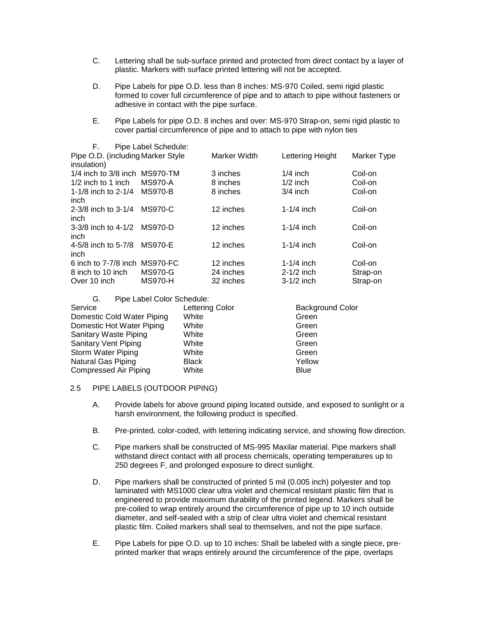- C. Lettering shall be sub-surface printed and protected from direct contact by a layer of plastic. Markers with surface printed lettering will not be accepted.
- D. Pipe Labels for pipe O.D. less than 8 inches: MS-970 Coiled, semi rigid plastic formed to cover full circumference of pipe and to attach to pipe without fasteners or adhesive in contact with the pipe surface.
- E. Pipe Labels for pipe O.D. 8 inches and over: MS-970 Strap-on, semi rigid plastic to cover partial circumference of pipe and to attach to pipe with nylon ties

| Pipe Label Schedule:              |              |                  |             |
|-----------------------------------|--------------|------------------|-------------|
| Pipe O.D. (including Marker Style | Marker Width | Lettering Height | Marker Type |
|                                   |              |                  |             |
| 1/4 inch to 3/8 inch MS970-TM     | 3 inches     | $1/4$ inch       | Coil-on     |
| MS970-A                           | 8 inches     | $1/2$ inch       | Coil-on     |
| <b>MS970-B</b>                    | 8 inches     | $3/4$ inch       | Coil-on     |
| MS970-C                           | 12 inches    | $1-1/4$ inch     | Coil-on     |
| 3-3/8 inch to 4-1/2 MS970-D       | 12 inches    | $1-1/4$ inch     | Coil-on     |
| MS970-E                           | 12 inches    | $1-1/4$ inch     | Coil-on     |
| 6 inch to 7-7/8 inch MS970-FC     | 12 inches    | $1-1/4$ inch     | Coil-on     |
| <b>MS970-G</b>                    | 24 inches    | $2-1/2$ inch     | Strap-on    |
| <b>MS970-H</b>                    | 32 inches    | $3-1/2$ inch     | Strap-on    |
|                                   |              |                  |             |

| Pipe Label Color Schedule:<br>G. |                 |                         |
|----------------------------------|-----------------|-------------------------|
| Service                          | Lettering Color | <b>Background Color</b> |
| Domestic Cold Water Piping       | White           | Green                   |
| Domestic Hot Water Piping        | White           | Green                   |
| Sanitary Waste Piping            | White           | Green                   |
| <b>Sanitary Vent Piping</b>      | White           | Green                   |
| Storm Water Piping               | White           | Green                   |
| <b>Natural Gas Piping</b>        | <b>Black</b>    | Yellow                  |
| <b>Compressed Air Piping</b>     | White           | Blue                    |

#### 2.5 PIPE LABELS (OUTDOOR PIPING)

- A. Provide labels for above ground piping located outside, and exposed to sunlight or a harsh environment, the following product is specified.
- B. Pre-printed, color-coded, with lettering indicating service, and showing flow direction.
- C. Pipe markers shall be constructed of MS-995 Maxilar material. Pipe markers shall withstand direct contact with all process chemicals, operating temperatures up to 250 degrees F, and prolonged exposure to direct sunlight.
- D. Pipe markers shall be constructed of printed 5 mil (0.005 inch) polyester and top laminated with MS1000 clear ultra violet and chemical resistant plastic film that is engineered to provide maximum durability of the printed legend. Markers shall be pre-coiled to wrap entirely around the circumference of pipe up to 10 inch outside diameter, and self-sealed with a strip of clear ultra violet and chemical resistant plastic film. Coiled markers shall seal to themselves, and not the pipe surface.
- E. Pipe Labels for pipe O.D. up to 10 inches: Shall be labeled with a single piece, preprinted marker that wraps entirely around the circumference of the pipe, overlaps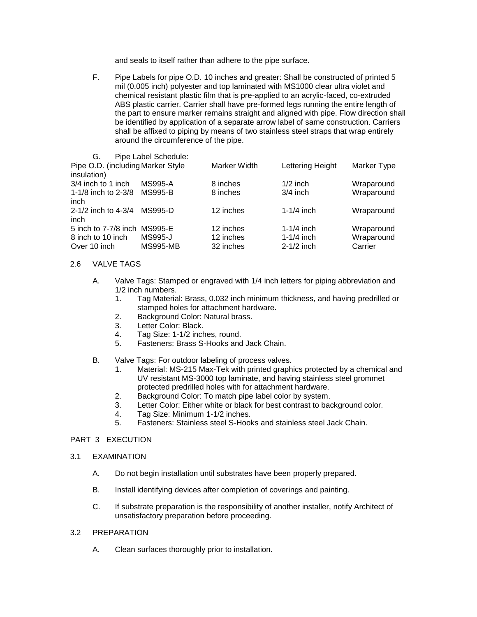and seals to itself rather than adhere to the pipe surface.

F. Pipe Labels for pipe O.D. 10 inches and greater: Shall be constructed of printed 5 mil (0.005 inch) polyester and top laminated with MS1000 clear ultra violet and chemical resistant plastic film that is pre-applied to an acrylic-faced, co-extruded ABS plastic carrier. Carrier shall have pre-formed legs running the entire length of the part to ensure marker remains straight and aligned with pipe. Flow direction shall be identified by application of a separate arrow label of same construction. Carriers shall be affixed to piping by means of two stainless steel straps that wrap entirely around the circumference of the pipe.

| G.                                               | Pipe Label Schedule: |              |                  |             |
|--------------------------------------------------|----------------------|--------------|------------------|-------------|
| Pipe O.D. (including Marker Style<br>insulation) |                      | Marker Width | Lettering Height | Marker Type |
| 3/4 inch to 1 inch                               | <b>MS995-A</b>       | 8 inches     | $1/2$ inch       | Wraparound  |
| 1-1/8 inch to 2-3/8<br>inch                      | <b>MS995-B</b>       | 8 inches     | $3/4$ inch       | Wraparound  |
| 2-1/2 inch to 4-3/4<br>inch                      | MS995-D              | 12 inches    | $1-1/4$ inch     | Wraparound  |
| 5 inch to 7-7/8 inch MS995-E                     |                      | 12 inches    | $1-1/4$ inch     | Wraparound  |
| 8 inch to 10 inch                                | <b>MS995-J</b>       | 12 inches    | $1-1/4$ inch     | Wraparound  |
| Over 10 inch                                     | <b>MS995-MB</b>      | 32 inches    | $2-1/2$ inch     | Carrier     |

### 2.6 VALVE TAGS

- A. Valve Tags: Stamped or engraved with 1/4 inch letters for piping abbreviation and 1/2 inch numbers.
	- 1. Tag Material: Brass, 0.032 inch minimum thickness, and having predrilled or stamped holes for attachment hardware.
	- 2. Background Color: Natural brass.
	- 3. Letter Color: Black.
	- 4. Tag Size: 1-1/2 inches, round.
	- 5. Fasteners: Brass S-Hooks and Jack Chain.
- B. Valve Tags: For outdoor labeling of process valves.
	- 1. Material: MS-215 Max-Tek with printed graphics protected by a chemical and UV resistant MS-3000 top laminate, and having stainless steel grommet protected predrilled holes with for attachment hardware.
	- 2. Background Color: To match pipe label color by system.
	- 3. Letter Color: Either white or black for best contrast to background color.
	- 4. Tag Size: Minimum 1-1/2 inches.
	- 5. Fasteners: Stainless steel S-Hooks and stainless steel Jack Chain.

## PART 3 EXECUTION

- 3.1 EXAMINATION
	- A. Do not begin installation until substrates have been properly prepared.
	- B. Install identifying devices after completion of coverings and painting.
	- C. If substrate preparation is the responsibility of another installer, notify Architect of unsatisfactory preparation before proceeding.

# 3.2 PREPARATION

A. Clean surfaces thoroughly prior to installation.